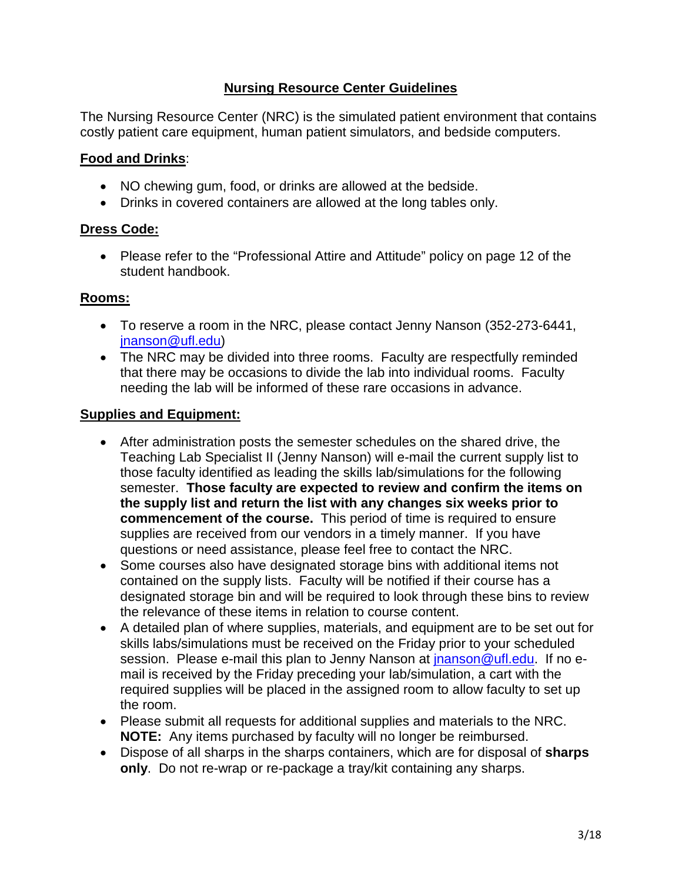# **Nursing Resource Center Guidelines**

The Nursing Resource Center (NRC) is the simulated patient environment that contains costly patient care equipment, human patient simulators, and bedside computers.

# **Food and Drinks**:

- NO chewing gum, food, or drinks are allowed at the bedside.
- Drinks in covered containers are allowed at the long tables only.

### **Dress Code:**

• Please refer to the "Professional Attire and Attitude" policy on page 12 of the student handbook.

### **Rooms:**

- To reserve a room in the NRC, please contact Jenny Nanson (352-273-6441, [jnanson@ufl.edu\)](mailto:jnanson@ufl.edu)
- The NRC may be divided into three rooms. Faculty are respectfully reminded that there may be occasions to divide the lab into individual rooms. Faculty needing the lab will be informed of these rare occasions in advance.

#### **Supplies and Equipment:**

- After administration posts the semester schedules on the shared drive, the Teaching Lab Specialist II (Jenny Nanson) will e-mail the current supply list to those faculty identified as leading the skills lab/simulations for the following semester. **Those faculty are expected to review and confirm the items on the supply list and return the list with any changes six weeks prior to commencement of the course.** This period of time is required to ensure supplies are received from our vendors in a timely manner. If you have questions or need assistance, please feel free to contact the NRC.
- Some courses also have designated storage bins with additional items not contained on the supply lists. Faculty will be notified if their course has a designated storage bin and will be required to look through these bins to review the relevance of these items in relation to course content.
- A detailed plan of where supplies, materials, and equipment are to be set out for skills labs/simulations must be received on the Friday prior to your scheduled session. Please e-mail this plan to Jenny Nanson at [jnanson@ufl.edu.](mailto:jnanson@ufl.edu) If no email is received by the Friday preceding your lab/simulation, a cart with the required supplies will be placed in the assigned room to allow faculty to set up the room.
- Please submit all requests for additional supplies and materials to the NRC. **NOTE:** Any items purchased by faculty will no longer be reimbursed.
- Dispose of all sharps in the sharps containers, which are for disposal of **sharps only**. Do not re-wrap or re-package a tray/kit containing any sharps.